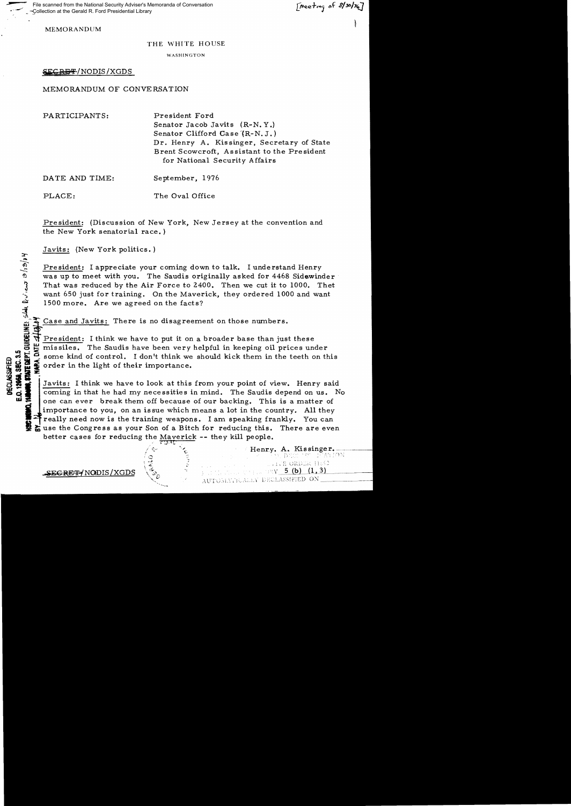File scanned from the National Security Adviser's Memoranda of Conversation Collection at the Gerald R. Ford Presidential Library

[meeting of  $8/30/16$ ]

MEMORANDUM

## THE WHITE HOUSE

WASHINGTON

SECRET/NODIS/XGDS

MEMORANDUM OF CONVERSATION

PARTICIPANTS: President Ford Senator Jacob Javits (R-N. Y.) Senator Clifford Case (R-N.J.) Dr. Henry A. Kissinger, Secretary of State Brent Scowcroft, Assistant to the President for National Security Affairs

DATE AND TIME: September, 1976

PLACE: The Oval Office

President: (Discussion of New York, New Jersey at the convention and the New York senatorial race. )

Javits: (New York politics. )

President: I appreciate your coming down to talk. I understand Henry was up to meet with *you.* The Saudis originally asked for 4468 Sidewinder That was reduced by the Air Force to 2400. Then we cut it to 1000. Thet want 650 just for training. On the Maverick, they ordered 1000 and want 1500 more. Are we agreed on the facts?

Case and Javits: There is no disagreement on those numbers.

 $\frac{M}{M}$  President: I think we have to put it on a broader base than just these<br>missiles. The Saudis have been very helpful in keeping oil prices une<br>some kind of control. I don't think we should kick them in the teeth o U:: II missiles. The Saudis have been very helpful in keeping oil prices under<br>
signal some kind of control. I don't think we should kick them in the teeth on the<br>
state order in the light of their importance.<br>
States: I t  $\begin{array}{l}\n\bullet \\
\bullet \\
\bullet \\
\bullet \\
\bullet \\
\bullet \\
\bullet \\
\bullet\n\end{array}$  some kind of control. I don't think we should kick them in the teeth on this<br>  $\begin{array}{l}\n\bullet \\
\bullet \\
\bullet \\
\bullet \\
\bullet \\
\bullet\n\end{array}$  order in the light of their importance.<br>  $\begin{array}{l}\n\bullet \\
\bullet \\
\bullet \\
\bullet \\
\bullet \\
\bullet\n\$ order in the light of their importance.

Javits: I think we have to look at this from your point of view. Henry said coming in that he had my necessities in mind. The Saudis depend on us. No one can ever break them off because of our backing. This is a matter of importance to you, on an issue which means a lot in the country. All they really need now is the training weapons. I am speaking frankly. You can  $\boldsymbol{\Sigma}$  use the Congress as your Son of a Bitch for reducing this. There are even better cases for reducing the Maverick -- they kill people.

*.....*E~NODIS/XGDS

Henry. A. Kissinger.  $\gamma$ en jinan j $\cap$ N - DRCS DIIVE ORDER HUS2 **1.**  $\frac{1}{2}$  (b)  $(1, 3)$ AUTOMENTICALLY DECLASSIFIED ON

WE DEPT. GUIDELINES, Such  $Q \vee \cdots \infty \circ \partial/\partial/\partial/\partial$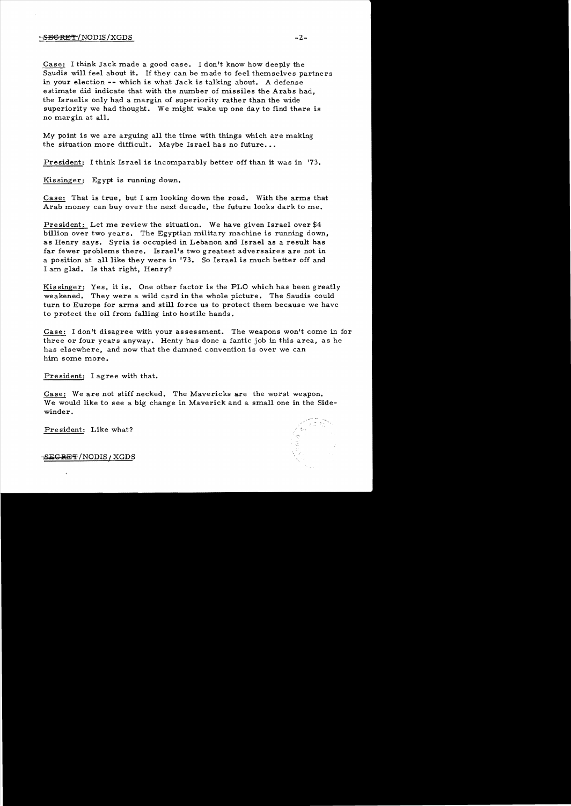Case: I think Jack made a good case. I don't know how deeply the Saudis will feel about it. If they can be made to feel themselves partners in your election -- which is what Jack is talking about. A defense estimate did indicate that with the number of missiles the Arabs had, the Israelis only had a margin of superiority rather than the wide superiority we had thought. We might wake up one day to find there is no mar gin at all.

My point is we are arguing all the time with things which are making the situation more difficult. Maybe Israel has no future...

President: I think Israel is incomparably better off than it was in '73.

Kissinger: Egypt is running down.

Case: That is true, but I am looking down the road. With the arms that Arab money can buy over the next decade, the future looks dark to me.

President: Let me review the situation. We have given Israel over \$4 billion over two years. The Egyptian military machine is running down, as Henry says. Syria is occupied in Lebanon and Israel as a result has far fewer problems there. Israel's two greatest adversaires are not in a position at al1like they were in '73. So Israel is much better off and I am glad. Is that right, Henry?

Kis singer: Yes, it is. One other factor is the PLO which has been greatly weakened. They were a wild card in the whole picture. The Saudis could turn to Europe for arms and still force us to protect them because we have to protect the oil from falling into hostile hands.

Case: I don't disagree with your assessment. The weapons won't come in for three or four years anyway. Henty has done a fantic job in this area, as he has elsewhere, and now that the damned convention is over we can him some more.

President: I agree with that.

Case: We are not stiff necked. The Mavericks are the worst weapon. We would like to see a big change in Maverick and a small one in the Side winder.

President: Like what?

-SEGRET/NODIS / XGDS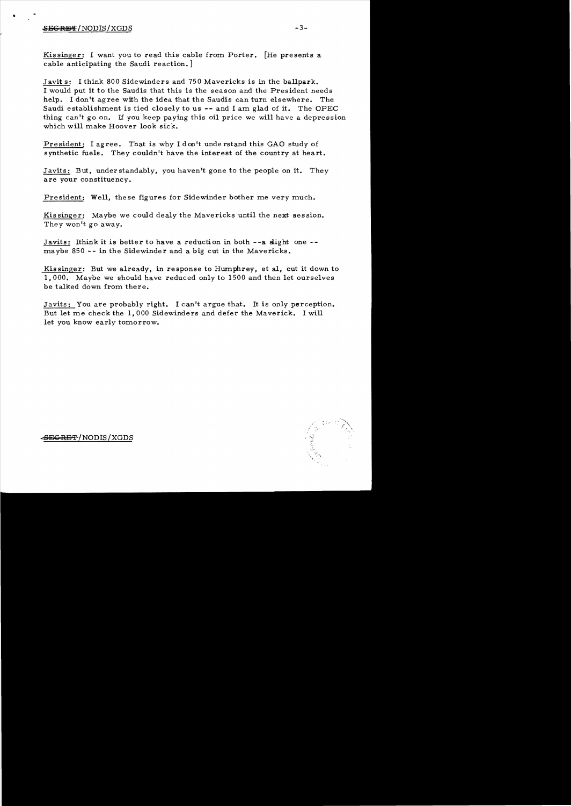## $SFGRBF/NODIS/XGDS$  -3-

•

Kissinger: I want you to read this cable from Porter. [He presents a cable anticipating the Saudi reaction.]

Javit s: I think 800 Sidewinders and 750 Mavericks is in the ballpark. I would put it to the Saudis that this is the season and the President needs help. I don't agree with the idea that the Saudis can turn elsewhere. The Saudi establishment is tied closely to us -- and I am glad of it. The OPEC thing can't go on. If you keep paying this oil price we will have a depression which will make Hoover look sick.

President: I agree. That is why I don't unde rstand this GAO study of synthetic fuels. They couldn't have the interest of the country at heart.

Javits: But, understandably, you haven't gone to the people on it. They are your constituency.

President: Well, these figures for Sidewinder bother me very much.

Kissinger: Maybe we could dealy the Mavericks until the next session. They won't go away.

Javits: Ithink it is better to have a reduction in both  $---$  a slight one  $--$ maybe 850 -- in the Sidewinder and a big cut in the Mavericks.

Kissinger: But we already, in response to Humphrey, et al. cut it down to 1.000. Maybe we should have reduced only to 1500 and then let ourselves be talked down from there.

Javits: You are probably right. I can't argue that. It is only perception. But let me check the 1.000 Sidewinders and defer the Maverick. I will let you know early tomorrow.



..sEC RET-/NODIS /XGDS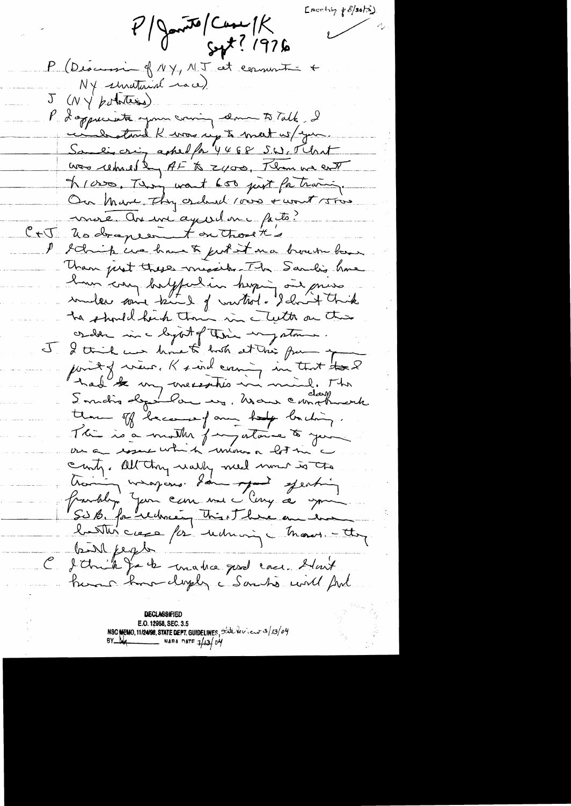[noeting  $\frac{\partial}{\partial s}$  sotion]

 $P/Q$ ante (Cure 1/2)<br>Syr ? 1976 P (Discussion of NY, NJ at comment  $N \gamma$  sinatural mace).  $(N \gamma)$  potentions). P. I oppreciate your couring down to Talk, I Instand K was up to meet us/your Samling asked for 4468 SW, That was returned by AF to zyons, Them we ext To 1000. They want 650 just for training. On Mare, Thy ordered 1000 + wort 15000 more An une agres donc faits? C+J hodrapeer toutrosetts I change we have to just it ma brown home  $\mathcal{F}_{\mathbb{Z}}$ Than just these missiber The Sandis have how can bayful in hyping our prises muleur sont tante of wanted. I cloud think crober in a legat of their mystam. I think we know to both at the fun of point y vieux. K siend comming in that took there of because fame hope backing. This is a months forgatoire to your canty. All they walky need mount to the having wagons for my ferting frankly you can use May a you Six B. for ellerce This There are the butter case for udning have the birth jeght I think fait make post case. Hout

**DECLASSIFIED** E.O. 12958, SEC. 3.5 NSC <del>ME</del>MO, 11/24/98, STATE DEPT. GUIDELINES, State Verican 3/13/04  $=$  NARS DATE  $1/13/04$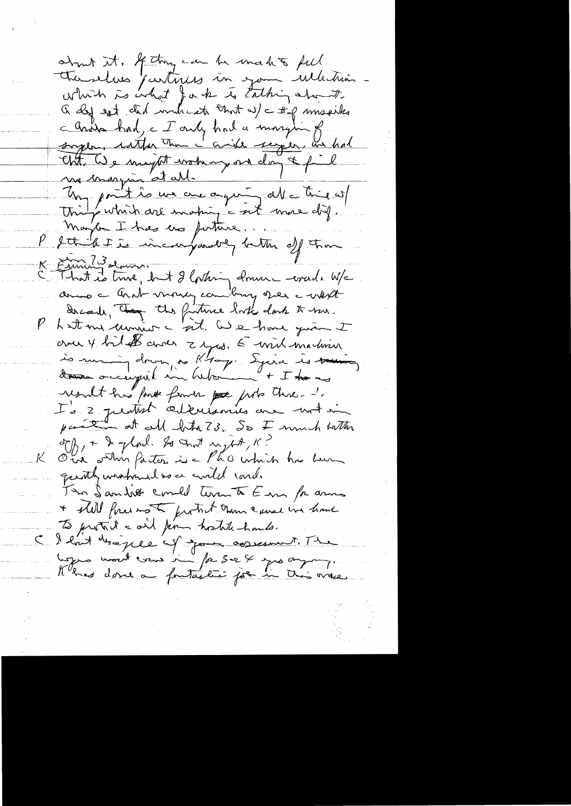about it. If they can be made to fell<br>there less fartures in some welching a chara had, a I only had a margin of Chit. We mujt wohning on day & fi ma margin at all-Un point le me agent de trie est Marghe I has en future... K Eurini 3 ernes, but d'hotain donner coarde M/c decade, they this future look donk to me.  $\not\!\!P$ Lation anniver - sit. We have quien I crue 4 bil & crocer z yes. E wird martiner is mui donn, a Ktop Spira is tuning result hus fonte finier par poto thre- !!<br>I's 2 juinted cileuismus and mot in Obj + de glad. Le cont regist, K?<br>Obie other factor is - Pho which has been geently washined as a wild cond. The Sandre could term to Em for anno + shill freems to front them cause we have to just it and form hostile hands. I had desagee of good correment. The legers mont come in factor & prochyong. Klenes done a fontactive pour in this order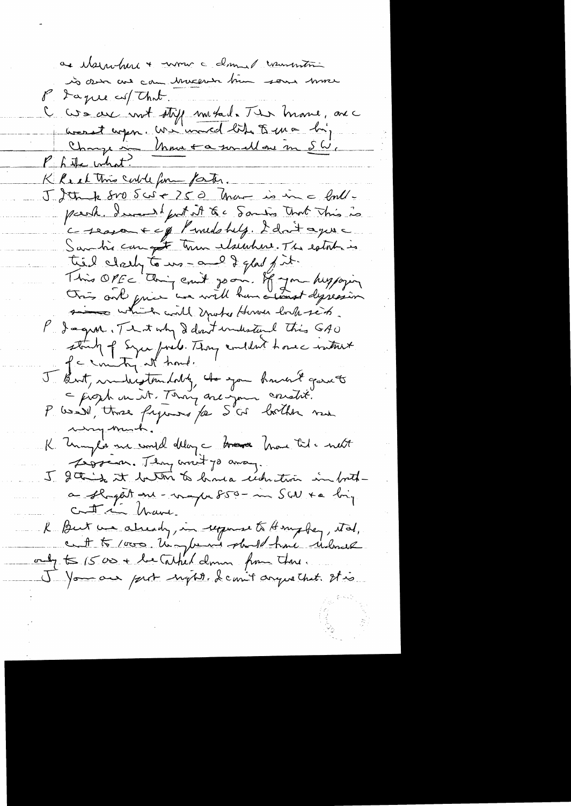as itservement & norma c domaine momentain is over and can truesver time some more P Iaque cup That. C cu au unt stiff mutal. The mane, avec weret argen. We would like of ma big Change in Unne + a sen ellou m SW. K Reel this cable form farter. J Junk svo Scs + 250 km is in a lordpark. Incent furt it to a Saming That This is creason + c & P meds help. I dont agence Sambre campt trouve elsewhere. The established treil closely to us-and I glad fint. This OPEC Coing exit jour. If you hussain P. I agram, That why I don't indistant this GAU struty of Syce foils. They emblent home interest J But, understandaly, change havent gamets<br>= frozh un it. Johan ane man constit.<br>P los N, those faginers for S or bother me wing hunch. K Uniglia me would delay a trave trave tol. next Leggean. They won't go away. I J this it button to have ceduction in botha shapat one-mapa 850-in SCN to big R But we already, in require to Hongbey, stat, only to 1500 + be While down from those.